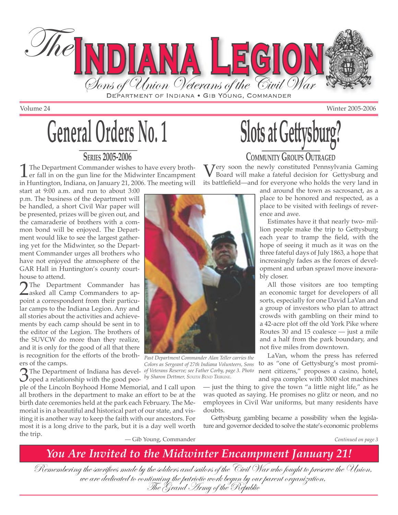

# **General Orders No. 1**

#### **SERIES 2005-2006**

The Department Commander wishes to have every broth-<br>er fall in on the gun line for the Midwinter Encampment<br>in Huntington Indiana, on January 21, 2006. The mosting will in Huntington, Indiana, on January 21, 2006. The meeting will

start at 9:00 a.m. and run to about 3:00 p.m. The business of the department will be handled, a short Civil War paper will be presented, prizes will be given out, and the camaraderie of brothers with a common bond will be enjoyed. The Department would like to see the largest gathering yet for the Midwinter, so the Department Commander urges all brothers who have not enjoyed the atmosphere of the GAR Hall in Huntington's county courthouse to attend.

2The Department Commander has **Z**asked all Camp Commanders to appoint a correspondent from their particular camps to the Indiana Legion. Any and all stories about the activities and achievements by each camp should be sent in to the editor of the Legion. The brothers of the SUVCW do more than they realize, and it is only for the good of all that there is recognition for the efforts of the brothers of the camps.

3The Department of Indiana has devel-oped a relationship with the good peo-

ple of the Lincoln Boyhood Home Memorial, and I call upon all brothers in the department to make an effort to be at the birth date ceremonies held at the park each February. The Memorial is in a beautiful and historical part of our state, and visiting it is another way to keep the faith with our ancestors. For most it is a long drive to the park, but it is a day well worth the trip.



*Past Department Commander Alan Teller carries the Colors as Sergeant of 27th Indiana Volunteers, Sons of Veterans Reserve; see Father Corby, page 3. Photo by Sharon Dettmer, SOUTH BEND TRIBUNE.* 

**Slots at Gettysburg** 

**COMMUNITY GROUPS OUTRAGED** 

Very soon the newly constituted Pennsylvania Gaming Board will make a fateful decision for Gettysburg and its battlefield—and for everyone who holds the very land in

> and around the town as sacrosanct, as a place to be honored and respected, as a place to be visited with feelings of reverence and awe.

> Estimates have it that nearly two- million people make the trip to Gettysburg each year to tramp the field, with the hope of seeing it much as it was on the three fateful days of July 1863, a hope that increasingly fades as the forces of development and urban sprawl move inexorably closer.

> All those visitors are too tempting an economic target for developers of all sorts, especially for one David LaVan and a group of investors who plan to attract crowds with gambling on their mind to a 42-acre plot off the old York Pike where Routes 30 and 15 coalesce — just a mile and a half from the park boundary, and not five miles from downtown.

LaVan, whom the press has referred to as "one of Gettysburg's most prominent citizens," proposes a casino, hotel, and spa complex with 3000 slot machines

— just the thing to give the town "a little night life," as he was quoted as saying. He promises no glitz or neon, and no employees in Civil War uniforms, but many residents have doubts.

Gettysburg gambling became a possibility when the legislature and governor decided to solve the state's economic problems

— Gib Young, Commander *Continued on page 3*

*You Are Invited to the Midwinter Encampment January 21!* 

Remembering the sacrifices made by the soldiers and sailors of the Civil War who fought to preserve the Union,<br>we are dedicated to continuing the patriotic work begun by our parent organization,<br>The Grand Army of the Repub

Volume 24 Winter 2005-2006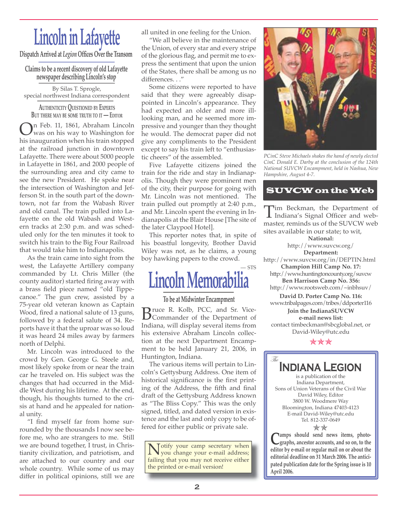## **Lincoln in Lafayette**

**Dispatch Arrived at** *Legion* **Offices Over the Transom** 

## **Claims to be a recent discovery of old Lafayette newspaper describing Lincoln's stop**

By Silas T. Sprogle, special northwest Indiana correspondent

**AUTHENTICITY QUESTIONED BY EXPERTS BUT THERE MAY BE SOME TRUTH TO IT — EDITOR**

On Feb. 11, 1861, Abraham Lincoln was on his way to Washington for his inauguration when his train stopped at the railroad junction in downtown Lafayette. There were about 5000 people in Lafayette in 1861, and 2000 people of the surrounding area and city came to see the new President. He spoke near the intersection of Washington and Jefferson St. in the south part of the downtown, not far from the Wabash River and old canal. The train pulled into Lafayette on the old Wabash and Western tracks at 2:30 p.m. and was scheduled only for the ten minutes it took to switch his train to the Big Four Railroad that would take him to Indianapolis.

As the train came into sight from the west, the Lafayette Artillery company commanded by Lt. Chris Miller (the county auditor) started firing away with a brass field piece named "old Tippecanoe." The gun crew, assisted by a 75-year old veteran known as Captain Wood, fired a national salute of 13 guns, followed by a federal salute of 34. Reports have it that the uproar was so loud it was heard 24 miles away by farmers north of Delphi.

Mr. Lincoln was introduced to the crowd by Gen. George G. Steele and, most likely spoke from or near the train car he traveled on. His subject was the changes that had occurred in the Middle West during his lifetime. At the end, though, his thoughts turned to the crisis at hand and he appealed for national unity.

"I find myself far from home surrounded by the thousands I now see before me, who are strangers to me. Still we are bound together, I trust, in Christianity civilization, and patriotism, and are attached to our country and our whole country. While some of us may differ in political opinions, still we are

all united in one feeling for the Union.

"We all believe in the maintenance of the Union, of every star and every stripe of the glorious flag, and permit me to express the sentiment that upon the union of the States, there shall be among us no differences. . ."

Some citizens were reported to have said that they were agreeably disappointed in Lincoln's appearance. They had expected an older and more illlooking man, and he seemed more impressive and younger than they thought he would. The democrat paper did not give any compliments to the President except to say his train left to "enthusiastic cheers" of the assembled.

Five Lafayette citizens joined the train for the ride and stay in Indianapolis. Though they were prominent men of the city, their purpose for going with Mr. Lincoln was not mentioned. The train pulled out promptly at 2:40 p.m., and Mr. Lincoln spent the evening in Indianapolis at the Blair House [The site of the later Claypool Hotel].

This reporter notes that, in spite of his boastful longevity, Brother David Wiley was not, as he claims, a young boy hawking papers to the crowd.

### $-$  STS **Lincoln Memorab**

#### **To be at Midwinter Encampment**

**B**ruce R. Kolb, PCC, and Sr. Vice-<br>Commander of the Department of Indiana, will display several items from his extensive Abraham Lincoln collection at the next Department Encampment to be held January 21, 2006, in Huntington, Indiana.

The various items will pertain to Lincoln's Gettysburg Address. One item of historical significance is the first printing of the Address, the fifth and final draft of the Gettysburg Address known as "The Bliss Copy." This was the only signed, titled, and dated version in existence and the last and only copy to be offered for either public or private sale.

Notify your camp secretary when<br>you change your e-mail address;<br>failing that you may not require either failing that you may not receive either the printed or e-mail version!



*PCinC Steve Michaels shakes the hand of newly elected CinC Donald E. Darby at the conclusion of the 124th National SUVCW Encampment, held in Nashua, New Hampshire, August 4-7.*

#### SUVCW on the Web

 $\prod$ im Beckman, the Department of Indiana's Signal Officer and web-<br>master reminds us of the SUVCW web master, reminds us of the SUVCW web sites available in our state; to wit,

**National:** http://www.suvcw.org/ **Department:** http://www.suvcw.org/in/DEPTIN.html **Champion Hill Camp No. 17:** http://www.huntingtoncounty.org/suvcw **Ben Harrison Camp No. 356:** http://www.rootsweb.com/~inbhsuv/ **David D. Porter Camp No. 116:** www.tribalpages.com/tribes/ddporter116 **Join the IndianaSUVCW e-mail news list:** 

contact timbeckman@sbcglobal.net, or David-Wiley@utc.edu

\*\*\*

The

**Indiana Legion** is a publication of the Indiana Department, Sons of Union Veterans of the Civil War David Wiley, Editor 3800 W. Woodmere Way Bloomington, Indiana 47403-4123 E-mail David-Wiley@utc.edu Tel. 812-337-0649

**C**amps should send news items, photo-<br>graphs, ancestor accounts, and so on, to the **editor by e-mail or regular mail on or about the editorial deadline on 31 March 2006. The anticipated publication date for the Spring issue is 10 April 2006.** ✯✯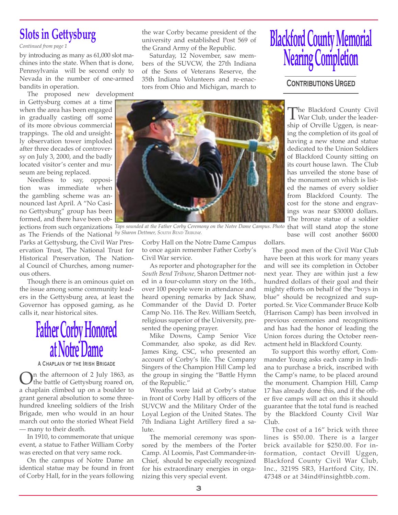## **Slots in Gettysburg**

*Continued from page 1*

by introducing as many as 61,000 slot machines into the state. When that is done, Pennsylvania will be second only to Nevada in the number of one-armed bandits in operation.

The proposed new development in Gettysburg comes at a time when the area has been engaged in gradually casting off some of its more obvious commercial trappings. The old and unsightly observation tower imploded after three decades of controversy on July 3, 2000, and the badly located visitor's center and museum are being replaced.

Needless to say, opposition was immediate when the gambling scheme was announced last April. A "No Casino Gettysburg" group has been formed, and there have been ob-

as The Friends of the National *by Sharon Dettmer, SOUTH BEND TRIBUNe.* Parks at Gettysburg, the Civil War Preservation Trust, The National Trust for Historical Preservation, The National Council of Churches, among numerous others.

Though there is an ominous quiet on the issue among some community leaders in the Gettysburg area, at least the Governor has opposed gaming, as he calls it, near historical sites.

# **Father Corby Honored at Notre Dame**

A CHAPLAIN OF THE IRISH BRIGADE

**On** the afternoon of 2 July 1863, as<br>the battle of Gettysburg roared on,<br>a shapkin slimbed up on a houlder to a chaplain climbed up on a boulder to grant general absolution to some threehundred kneeling soldiers of the Irish Brigade, men who would in an hour march out onto the storied Wheat Field — many to their death.

In 1910, to commemorate that unique event, a statue to Father William Corby was erected on that very same rock.

On the campus of Notre Dame an identical statue may be found in front of Corby Hall, for in the years following the war Corby became president of the university and established Post 569 of the Grand Army of the Republic.

Saturday, 12 November, saw members of the SUVCW, the 27th Indiana of the Sons of Veterans Reserve, the 35th Indiana Volunteers and re-enactors from Ohio and Michigan, march to

# **Blackford County Memorial Nearing Completion**

**CONTRIBUTIONS URGED** 



jections from such organizations *Taps sounded at the Father Corby Ceremony on the Notre Dame Campus. Photo* that will stand atop the stone

Corby Hall on the Notre Dame Campus to once again remember Father Corby's Civil War service.

As reporter and photographer for the *South Bend Tribune,* Sharon Dettmer noted in a four-column story on the 16th., over 100 people were in attendance and heard opening remarks by Jack Shaw, Commander of the David D. Porter Camp No. 116. The Rev. William Seetch, religious superior of the University, presented the opening prayer.

Mike Downs, Camp Senior Vice Commander, also spoke, as did Rev. James King, CSC, who presented an account of Corby's life. The Company Singers of the Champion Hill Camp led the group in singing the "Battle Hymn of the Republic."

Wreaths were laid at Corby's statue in front of Corby Hall by officers of the SUVCW and the Military Order of the Loyal Legion of the United States. The 7th Indiana Light Artillery fired a salute.

The memorial ceremony was sponsored by the members of the Porter Camp. Al Loomis, Past Commander-in-Chief, should be especially recognized for his extraordinary energies in organizing this very special event.

The Blackford County Civil<br>War Club, under the leader-<br>chip of Orvillo Usson, is nonship of Orville Uggen, is nearing the completion of its goal of having a new stone and statue dedicated to the Union Soldiers of Blackford County sitting on its court house lawn. The Club has unveiled the stone base of the monument on which is listed the names of every soldier from Blackford County. The cost for the stone and engravings was near \$30000 dollars. The bronze statue of a soldier base will cost another \$6000

dollars.

The good men of the Civil War Club have been at this work for many years and will see its completion in October next year. They are within just a few hundred dollars of their goal and their mighty efforts on behalf of the "boys in blue" should be recognized and supported. Sr. Vice Commander Bruce Kolb (Harrison Camp) has been involved in previous ceremonies and recognitions and has had the honor of leading the Union forces during the October reenactment held in Blackford County.

To support this worthy effort, Commander Young asks each camp in Indiana to purchase a brick, inscribed with the Camp's name, to be placed around the monument. Champion Hill, Camp 17 has already done this, and if the other five camps will act on this it should guarantee that the total fund is reached by the Blackford County Civil War Club.

The cost of a 16" brick with three lines is \$50.00. There is a larger brick available for \$250.00. For information, contact Orvill Uggen, Blackford County Civil War Club, Inc., 3219S SR3, Hartford City, IN. 47348 or at 34ind@insightbb.com.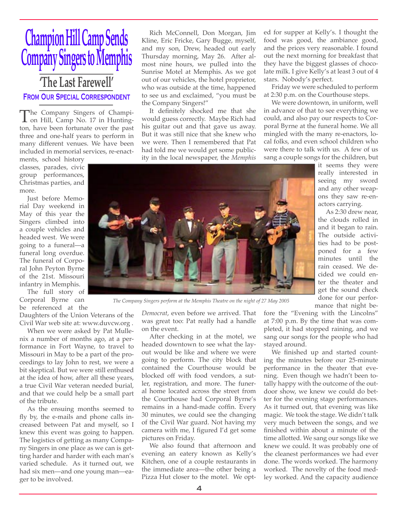## **Champion Hill Camp Sends Company Singers to Memphis 'The Last Farewell'** FROM OUR SPECIAL CORRESPONDENT

The Company Singers of Champi-<br>on Hill, Camp No. 17 in Hunting-<br>top have been fortunate over the past ton, have been fortunate over the past three and one-half years to perform in many different venues. We have been included in memorial services, re-enact-

ments, school history classes, parades, civic group performances, Christmas parties, and more.

Just before Memorial Day weekend in May of this year the Singers climbed into a couple vehicles and headed west. We were going to a funeral—a funeral long overdue. The funeral of Corporal John Peyton Byrne of the 21st. Missouri infantry in Memphis.

The full story of Corporal Byrne can be referenced at the

Daughters of the Union Veterans of the Civil War web site at: www.duvcw.org .

When we were asked by Pat Mullenix a number of months ago, at a performance in Fort Wayne, to travel to Missouri in May to be a part of the proceedings to lay John to rest, we were a bit skeptical. But we were still enthused at the idea of how, after all these years, a true Civil War veteran needed burial, and that we could help be a small part of the tribute.

As the ensuing months seemed to fly by, the e-mails and phone calls increased between Pat and myself, so I knew this event was going to happen. The logistics of getting as many Company Singers in one place as we can is getting harder and harder with each man's varied schedule. As it turned out, we had six men—and one young man—eager to be involved.

Rich McConnell, Don Morgan, Jim Kline, Eric Fricke, Gary Bugge, myself, and my son, Drew, headed out early Thursday morning, May 26. After almost nine hours, we pulled into the Sunrise Motel at Memphis. As we got out of our vehicles, the hotel proprietor, who was outside at the time, happened to see us and exclaimed, "you must be the Company Singers!"

It definitely shocked me that she would guess correctly. Maybe Rich had his guitar out and that gave us away. But it was still nice that she knew who we were. Then I remembered that Pat had told me we would get some publicity in the local newspaper, the *Memphis* 

ed for supper at Kelly's. I thought the food was good, the ambiance good, and the prices very reasonable. I found out the next morning for breakfast that they have the biggest glasses of chocolate milk. I give Kelly's at least 3 out of 4 stars. Nobody's perfect.

Friday we were scheduled to perform at 2:30 p.m. on the Courthouse steps.

We were downtown, in uniform, well in advance of that to see everything we could, and also pay our respects to Corporal Byrne at the funeral home. We all mingled with the many re-enactors, local folks, and even school children who were there to talk with us. A few of us sang a couple songs for the children, but

it seems they were really interested in seeing my sword and any other weapons they saw re-enactors carrying.

As 2:30 drew near, the clouds rolled in and it began to rain. The outside activities had to be postponed for a few minutes until the rain ceased. We decided we could enter the theater and get the sound check done for our performance that night be-



*The Company Singers perform at the Memphis Theatre on the night of 27 May 2005* 

*Democrat*, even before we arrived. That was great too: Pat really had a handle on the event.

After checking in at the motel, we headed downtown to see what the layout would be like and where we were going to perform. The city block that contained the Courthouse would be blocked off with food vendors, a sutler, registration, and more. The funeral home located across the street from the Courthouse had Corporal Byrne's remains in a hand-made coffin. Every 30 minutes, we could see the changing of the Civil War guard. Not having my camera with me, I figured I'd get some pictures on Friday.

We also found that afternoon and evening an eatery known as Kelly's Kitchen, one of a couple restaurants in the immediate area—the other being a Pizza Hut closer to the motel. We optfore the "Evening with the Lincolns" at 7:00 p.m. By the time that was completed, it had stopped raining, and we sang our songs for the people who had stayed around.

We finished up and started counting the minutes before our 25-minute performance in the theater that evening. Even though we hadn't been totally happy with the outcome of the outdoor show, we knew we could do better for the evening stage performances. As it turned out, that evening was like magic. We took the stage. We didn't talk very much between the songs, and we finished within about a minute of the time allotted. We sang our songs like we knew we could. It was probably one of the cleanest performances we had ever done. The words worked. The harmony worked. The novelty of the food medley worked. And the capacity audience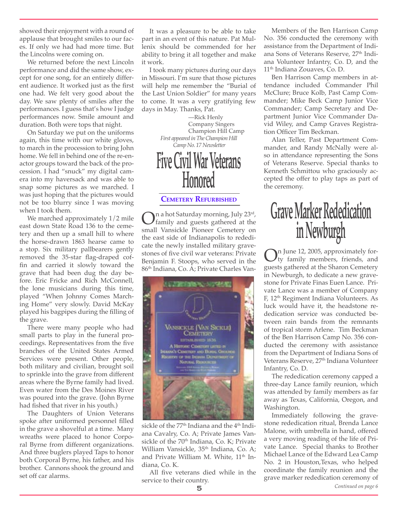showed their enjoyment with a round of applause that brought smiles to our faces. If only we had had more time. But the Lincolns were coming on.

We returned before the next Lincoln performance and did the same show, except for one song, for an entirely different audience. It worked just as the first one had. We felt very good about the day. We saw plenty of smiles after the performances. I guess that's how I judge performances now. Smile amount and duration. Both were tops that night.

On Saturday we put on the uniforms again, this time with our white gloves, to march in the procession to bring John home. We fell in behind one of the re-enactor groups toward the back of the procession. I had "snuck" my digital camera into my haversack and was able to snap some pictures as we marched. I was just hoping that the pictures would not be too blurry since I was moving when I took them.

We marched approximately 1/2 mile east down State Road 136 to the cemetery and then up a small hill to where the horse-drawn 1863 hearse came to a stop. Six military pallbearers gently removed the 35-star flag-draped coffin and carried it slowly toward the grave that had been dug the day before. Eric Fricke and Rich McConnell, the lone musicians during this time, played "When Johnny Comes Marching Home" very slowly. David McKay played his bagpipes during the filling of the grave.

There were many people who had small parts to play in the funeral proceedings. Representatives from the five branches of the United States Armed Services were present. Other people, both military and civilian, brought soil to sprinkle into the grave from different areas where the Byrne family had lived. Even water from the Des Moines River was poured into the grave. (John Byrne had fished that river in his youth.)

The Daughters of Union Veterans spoke after uniformed personnel filled in the grave a shovelful at a time. Many wreaths were placed to honor Corporal Byrne from different organizations. And three buglers played Taps to honor both Corporal Byrne, his father, and his brother. Cannons shook the ground and set off car alarms.

It was a pleasure to be able to take part in an event of this nature. Pat Mullenix should be commended for her ability to bring it all together and make it work.

I took many pictures during our days in Missouri. I'm sure that those pictures will help me remember the "Burial of the Last Union Soldier" for many years to come. It was a very gratifying few days in May. Thanks, Pat.



#### **CEMETERY REFURBISHED**

On a hot Saturday morning, July 23<sup>rd</sup>,<br>
family and guests gathered at the<br>
small, Vancickle Pioneer, Comptony on small Vansickle Pioneer Cemetery on the east side of Indianapolis to rededicate the newly installed military gravestones of five civil war veterans: Private Benjamin F. Stoops, who served in the 86th Indiana, Co. A; Private Charles Van-



sickle of the 77<sup>th</sup> Indiana and the 4<sup>th</sup> Indiana Cavalry, Co. A; Private James Vansickle of the 70<sup>th</sup> Indiana, Co. K; Private William Vansickle, 35<sup>th</sup> Indiana, Co. A; and Private William M. White, 11<sup>th</sup> Indiana, Co. K.

All five veterans died while in the service to their country.

Members of the Ben Harrison Camp No. 356 conducted the ceremony with assistance from the Department of Indiana Sons of Veterans Reserve, 27<sup>th</sup> Indiana Volunteer Infantry, Co. D, and the 11<sup>th</sup> Indiana Zouaves, Co. D.

Ben Harrison Camp members in attendance included Commander Phil McClure; Bruce Kolb, Past Camp Commander; Mike Beck Camp Junior Vice Commander; Camp Secretary and Department Junior Vice Commander David Wiley, and Camp Graves Registration Officer Tim Beckman.

Alan Teller, Past Department Commander, and Randy McNally were also in attendance representing the Sons of Veterans Reserve. Special thanks to Kenneth Schmittou who graciously accepted the offer to play taps as part of the ceremony.

## **Grave Marker Rededication in Newburgh**

On June 12, 2005, approximately for-<br>ty family members, friends, and<br>quote oxthored at the Sharon Comptony guests gathered at the Sharon Cemetery in Newburgh, to dedicate a new gravestone for Private Finas Euen Lance. Private Lance was a member of Company F, 12th Regiment Indiana Volunteers. As luck would have it, the headstone rededication service was conducted between rain bands from the remnants of tropical storm Arlene. Tim Beckman of the Ben Harrison Camp No. 356 conducted the ceremony with assistance from the Department of Indiana Sons of Veterans Reserve, 27th Indiana Volunteer Infantry, Co. D.

The rededication ceremony capped a three-day Lance family reunion, which was attended by family members as far away as Texas, California, Oregon, and Washington.

Immediately following the gravestone rededication ritual, Brenda Lance Malone, with umbrella in hand, offered a very moving reading of the life of Private Lance. Special thanks to Brother Michael Lance of the Edward Lea Camp No. 2 in Houston,Texas, who helped coordinate the family reunion and the grave marker rededication ceremony of

5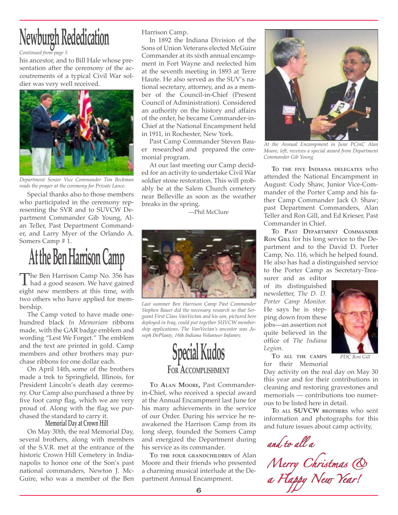# Newburgh Rededication Harrison Camp.

*Continued from page 5*

his ancestor, and to Bill Hale whose presentation after the ceremony of the accoutrements of a typical Civil War soldier was very well received.



*Department Senior Vice Commander Tim Beckman reads the prayer at the ceremony for Private Lance.*

Special thanks also to those members who participated in the ceremony representing the SVR and to SUVCW Department Commander Gib Young, Alan Teller, Past Department Commander, and Larry Myer of the Orlando A. Somers Camp # 1.

## **At the Ben Harrison Camp**

The Ben Harrison Camp No. 356 has<br>had a good season. We have gained<br>eight now mombers at this time, with eight new members at this time, with two others who have applied for membership.

The Camp voted to have made onehundred black *In Memoriam* ribbons made, with the GAR badge emblem and wording "Lest We Forget." The emblem and the text are printed in gold. Camp members and other brothers may purchase ribbons for one dollar each.

On April 14th, some of the brothers made a trek to Springfield, Illinois, for President Lincoln's death day ceremony. Our Camp also purchased a three by five foot camp flag, which we are very proud of. Along with the flag we purchased the standard to carry it.

#### **Memorial Day at Crown Hill**

On May 30th, the real Memorial Day, several brothers, along with members of the S.V.R. met at the entrance of the historic Crown Hill Cemetery in Indianapolis to honor one of the Son's past national commanders, Newton J. Mc-Guire, who was a member of the Ben

In 1892 the Indiana Division of the Sons of Union Veterans elected McGuire Commander at its sixth annual encampment in Fort Wayne and reelected him at the seventh meeting in 1893 at Terre Haute. He also served as the SUV's national secretary, attorney, and as a member of the Council-in-Chief (Present Council of Administration). Considered an authority on the history and affairs of the order, he became Commander-in-Chief at the National Encampment held in 1911, in Rochester, New York.

Past Camp Commander Steven Bauer researched and prepared the ceremonial program.

At our last meeting our Camp decided for an activity to undertake Civil War soldier stone restoration. This will probably be at the Salem Church cemetery near Belleville as soon as the weather breaks in the spring.

—Phil McClure



*Last summer Ben Harrison Camp Past Commander Stephen Bauer did the necessary research so that Sergeant First Class VanVectan and his son, pictured here deployed in Iraq, could put together SUVCW membership applications. The VanVectan's ancestor was Joseph DePlanty, 16th Indiana Volunteer Infantry.*



**TO ALAN MOORE,** Past Commanderin-Chief, who received a special award at the Annual Encampment last June for his many achievements in the service of our Order. During his service he reawakened the Harrison Camp from its long sleep, founded the Somers Camp and energized the Department during his service as its commander.

**TO THE FOUR GRANDCHILDREN** of Alan Moore and their friends who presented a charming musical interlude at the Department Annual Encampment.



*At the Annual Encampment in June PCinC Alan Moore, left, receives a special award from Department Commander Gib Young.*

**TO THE FIVE INDIANA DELEGATES** who attended the National Encampment in August: Cody Shaw, Junior Vice-Commander of the Porter Camp and his father Camp Commander Jack O. Shaw; past Department Commanders, Alan Teller and Ron Gill, and Ed Krieser, Past Commander in Chief.

**TO PAST DEPARTMENT COMMANDER RON GILL** for his long service to the Department and to the David D. Porter Camp, No. 116, which he helped found. He also has had a distinguished service to the Porter Camp as Secretary-Trea-

surer and as editor of its distinguished newsletter, *The D. D. Porter Camp Monitor.* He says he is stepping down from these jobs—an assertion not quite believed in the office of *The Indiana Legion.*



**TO ALL THE CAMPS** for their Memorial *PDC Ron Gill*

Day activity on the real day on May 30 this year and for their contributions in cleaning and restoring gravestones and memorials — contributions too numerous to be listed here in detail.

**TO ALL SUVCW BROTHERS** who sent information and photographs for this and future issues about camp activity,

*and to all a*

*Merry Christmas & a Happy New Year!*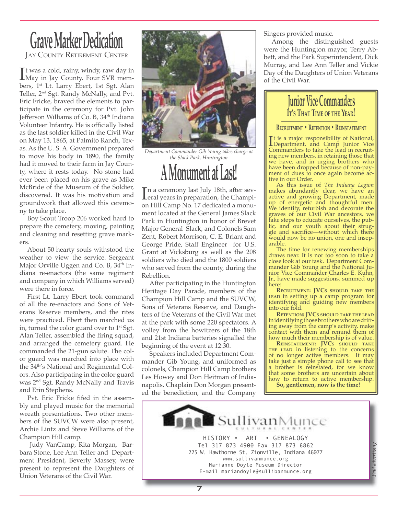### **Grave Marker Dedication JAY COUNTY RETIREMENT CENTER**

It was a cold, rainy, windy, raw day in<br>May in Jay County. Four SVR mem-<br>hors 1<sup>st</sup> Lt. Larry, Ebert, 1st Set. Alan It was a cold, rainy, windy, raw day in bers, 1st Lt. Larry Ebert, 1st Sgt. Alan Teller, 2nd Sgt. Randy McNally, and Pvt. Eric Fricke, braved the elements to participate in the ceremony for Pvt. John Jefferson Williams of Co. B, 34<sup>th</sup> Indiana Volunteer Infantry. He is officially listed as the last soldier killed in the Civil War on May 13, 1865, at Palmito Ranch, Texas. As the U. S. A. Government prepared to move his body in 1890, the family had it moved to their farm in Jay County, where it rests today. No stone had ever been placed on his grave as Mike McBride of the Museum of the Soldier, discovered. It was his motivation and groundwork that allowed this ceremony to take place.

Boy Scout Troop 206 worked hard to prepare the cemetery, moving, painting and cleaning and resetting grave markers.

About 50 hearty souls withstood the weather to view the service. Sergeant Major Orville Uggen and Co. B, 34<sup>th</sup> Indiana re-enactors (the same regiment and company in which Williams served) were there in force.

First Lt. Larry Ebert took command of all the re-enactors and Sons of Veterans Reserve members, and the rites were practiced. Ebert then marched us in, turned the color guard over to  $1<sup>st</sup> Sgt$ . Alan Teller, assembled the firing squad, and arranged the cemetery guard. He commanded the 21-gun salute. The color guard was marched into place with the 34th's National and Regimental Colors. Also participating in the color guard was 2nd Sgt. Randy McNally and Travis and Erin Stephens.

Pvt. Eric Fricke fifed in the assembly and played music for the memorial wreath presentations. Two other members of the SUVCW were also present, Archie Lintz and Steve Williams of the Champion Hill camp.

 Judy VanCamp, Rita Morgan, Barbara Stone, Lee Ann Teller and Department President, Beverly Massey, were present to represent the Daughters of Union Veterans of the Civil War.



*Department Commander Gib Young takes charge at the Slack Park, Huntington*

**A Monument at Last!**

In a ceremony last July 18th, after sev-<br>
eral years in preparation, the Champi-<br>
on Hill Camp No. 17 dodiested a monu n a ceremony last July 18th, after sevon Hill Camp No. 17 dedicated a monument located at the General James Slack Park in Huntington in honor of Brevet Major General Slack, and Colonels Sam Zent, Robert Morrison, C. E. Briant and George Pride, Staff Engineer for U.S. Grant at Vicksburg as well as the 208 soldiers who died and the 1800 soldiers who served from the county, during the Rebellion.

After participating in the Huntington Heritage Day Parade, members of the Champion Hill Camp and the SUVCW, Sons of Veterans Reserve, and Daughters of the Veterans of the Civil War met at the park with some 220 spectators. A volley from the howitzers of the 18th and 21st Indiana batteries signalled the beginning of the event at 12:30.

Speakers included Department Commander Gib Young, and uniformed as colonels, Champion Hill Camp brothers Les Howey and Don Heitman of Indianapolis. Chaplain Don Morgan presented the benediction, and the Company

Singers provided music.

Among the distinguished guests were the Huntington mayor, Terry Abbett, and the Park Superintendent, Dick Murray, and Lee Ann Teller and Vickie Day of the Daughters of Union Veterans of the Civil War.

#### **Junior Vice Commanders IT'S THAT TIME OF THE YEAR!**

**RECRUITMENT • RETENTION • REINSTATEMENT**

It is a major responsibility of National,<br>I Department, and Camp Junior Vice<br>Commanders to take the lead in recruit. Department, and Camp Junior Vice Commanders to take the lead in recruiting new members, in retaining those that we have, and in urging brothers who have been dropped because of non-payment of dues to once again become active in our Order.

As this issue of *The Indiana Legion* makes abundantly clear, we have an active and growing Department, made up of energetic and thoughtful men. We identify, refurbish and decorate the graves of our Civil War ancestors, we take steps to educate ourselves, the public, and our youth about their struggle and sacrifice—without which there would now be no union, one and inseparable.

The time for renewing memberships draws near. It is not too soon to take a close look at our task. Department Commander Gib Young and the National Junior Vice Commander Charles E. Kuhn, Jr., have made suggestions, summed up here:

**RECRUITMENT: JVCS SHOULD TAKE THE LEAD** in setting up a camp program for identifying and guiding new members into our fold.

**RETENTION: JVCS SHOULD TAKE THE LEAD** in identifying those brothers who are drifting away from the camp's activity, make contact with them and remind them of how much their membership is of value.

**REINSTATEMENT: JVCS SHOULD TAKE THE LEAD** in listening to the concerns of no longer active members. It may take just a simple phone call to see that a brother is reinstated, for we know that some brothers are uncertain about how to return to active membership. **So, gentlemen, now is the time!**

*Paid advertising*



7